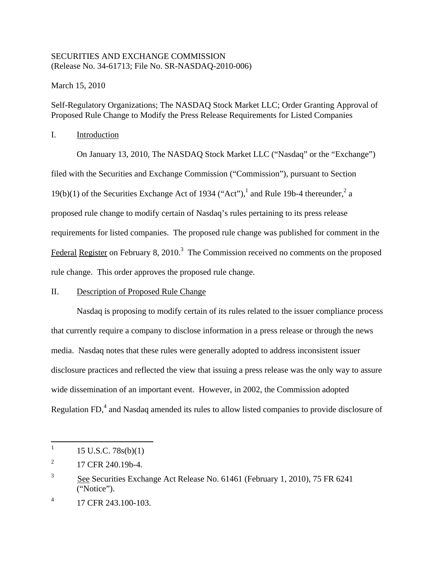## SECURITIES AND EXCHANGE COMMISSION (Release No. 34-61713; File No. SR-NASDAQ-2010-006)

March 15, 2010

Self-Regulatory Organizations; The NASDAQ Stock Market LLC; Order Granting Approval of Proposed Rule Change to Modify the Press Release Requirements for Listed Companies

## I. Introduction

On January 13, 2010, The NASDAQ Stock Market LLC ("Nasdaq" or the "Exchange") filed with the Securities and Exchange Commission ("Commission"), pursuant to Section 19(b)(1) of the Securities Exchange Act of 1934 ("Act"),<sup>1</sup> and Rule 19b-4 thereunder,<sup>2</sup> a proposed rule change to modify certain of Nasdaq's rules pertaining to its press release requirements for listed companies. The proposed rule change was published for comment in the Federal Register on February 8, 2010.<sup>3</sup> The Commission received no comments on the proposed rule change. This order approves the proposed rule change.

## II. Description of Proposed Rule Change

Nasdaq is proposing to modify certain of its rules related to the issuer compliance process that currently require a company to disclose information in a press release or through the news media. Nasdaq notes that these rules were generally adopted to address inconsistent issuer disclosure practices and reflected the view that issuing a press release was the only way to assure wide dissemination of an important event. However, in 2002, the Commission adopted Regulation FD, $<sup>4</sup>$  and Nasdaq amended its rules to allow listed companies to provide disclosure of</sup>

 $\mathbf{1}$  $15$  U.S.C.  $78s(b)(1)$ 

 $^{2}$  17 CFR 240.19b-4.

<sup>&</sup>lt;sup>3</sup> See Securities Exchange Act Release No. 61461 (February 1, 2010), 75 FR 6241 ("Notice").

 $\overline{4}$ 17 CFR 243.100-103.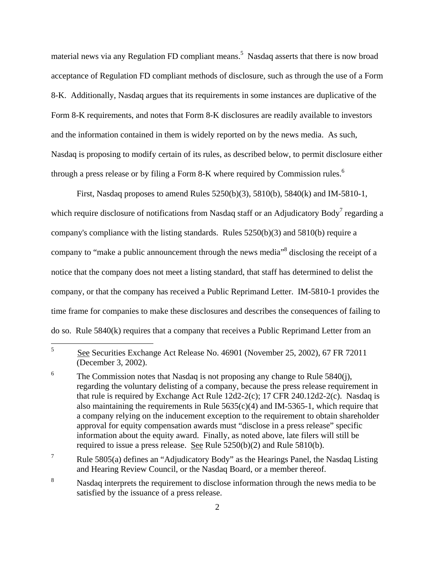through a press release or by filing a Form 8-K where required by Commission rules.<sup>6</sup> material news via any Regulation FD compliant means.<sup>5</sup> Nasdaq asserts that there is now broad acceptance of Regulation FD compliant methods of disclosure, such as through the use of a Form 8-K. Additionally, Nasdaq argues that its requirements in some instances are duplicative of the Form 8-K requirements, and notes that Form 8-K disclosures are readily available to investors and the information contained in them is widely reported on by the news media. As such, Nasdaq is proposing to modify certain of its rules, as described below, to permit disclosure either

First, Nasdaq proposes to amend Rules 5250(b)(3), 5810(b), 5840(k) and IM-5810-1, which require disclosure of notifications from Nasdaq staff or an Adjudicatory Body<sup>7</sup> regarding a company's compliance with the listing standards. Rules  $5250(b)(3)$  and  $5810(b)$  require a company to "make a public announcement through the news media" disclosing the receipt of a notice that the company does not meet a listing standard, that staff has determined to delist the company, or that the company has received a Public Reprimand Letter. IM-5810-1 provides the time frame for companies to make these disclosures and describes the consequences of failing to do so. Rule 5840(k) requires that a company that receives a Public Reprimand Letter from an

 $\overline{7}$ Rule  $5805(a)$  defines an "Adjudicatory Body" as the Hearings Panel, the Nasdaq Listing and Hearing Review Council, or the Nasdaq Board, or a member thereof.

<sup>5</sup> 5 See Securities Exchange Act Release No. 46901 (November 25, 2002), 67 FR 72011 (December 3, 2002).

<sup>6</sup> The Commission notes that Nasdaq is not proposing any change to Rule  $5840(i)$ , regarding the voluntary delisting of a company, because the press release requirement in that rule is required by Exchange Act Rule  $12d2-2(c)$ ; 17 CFR 240.12d2-2(c). Nasdaq is also maintaining the requirements in Rule  $5635(c)(4)$  and IM-5365-1, which require that a company relying on the inducement exception to the requirement to obtain shareholder approval for equity compensation awards must "disclose in a press release" specific information about the equity award. Finally, as noted above, late filers will still be required to issue a press release. See Rule 5250(b)(2) and Rule 5810(b).

 $\,8\,$ Nasdaq interprets the requirement to disclose information through the news media to be satisfied by the issuance of a press release.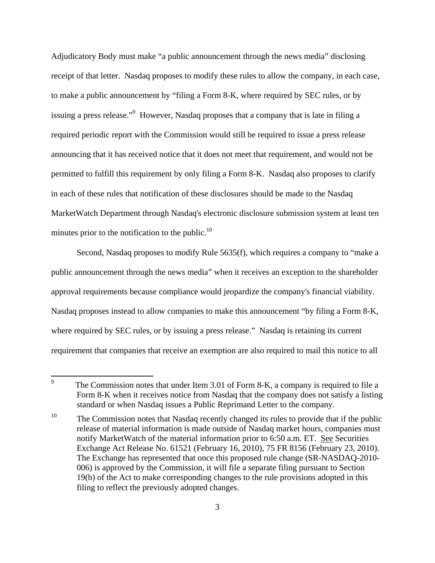Adjudicatory Body must make "a public announcement through the news media" disclosing receipt of that letter. Nasdaq proposes to modify these rules to allow the company, in each case, to make a public announcement by "filing a Form 8-K, where required by SEC rules, or by issuing a press release."<sup>9</sup> However, Nasdaq proposes that a company that is late in filing a required periodic report with the Commission would still be required to issue a press release announcing that it has received notice that it does not meet that requirement, and would not be permitted to fulfill this requirement by only filing a Form 8-K. Nasdaq also proposes to clarify in each of these rules that notification of these disclosures should be made to the Nasdaq MarketWatch Department through Nasdaq's electronic disclosure submission system at least ten minutes prior to the notification to the public. $^{10}$ 

Second, Nasdaq proposes to modify Rule 5635(f), which requires a company to "make a public announcement through the news media" when it receives an exception to the shareholder approval requirements because compliance would jeopardize the company's financial viability. Nasdaq proposes instead to allow companies to make this announcement "by filing a Form 8-K, where required by SEC rules, or by issuing a press release." Nasdaq is retaining its current requirement that companies that receive an exemption are also required to mail this notice to all

<sup>—&</sup>lt;br>9 The Commission notes that under Item 3.01 of Form 8-K, a company is required to file a Form 8-K when it receives notice from Nasdaq that the company does not satisfy a listing standard or when Nasdaq issues a Public Reprimand Letter to the company.

 $10<sup>10</sup>$ The Commission notes that Nasdaq recently changed its rules to provide that if the public release of material information is made outside of Nasdaq market hours, companies must notify MarketWatch of the material information prior to 6:50 a.m. ET. See Securities Exchange Act Release No. 61521 (February 16, 2010), 75 FR 8156 (February 23, 2010). The Exchange has represented that once this proposed rule change (SR-NASDAQ-2010- 006) is approved by the Commission, it will file a separate filing pursuant to Section 19(b) of the Act to make corresponding changes to the rule provisions adopted in this filing to reflect the previously adopted changes.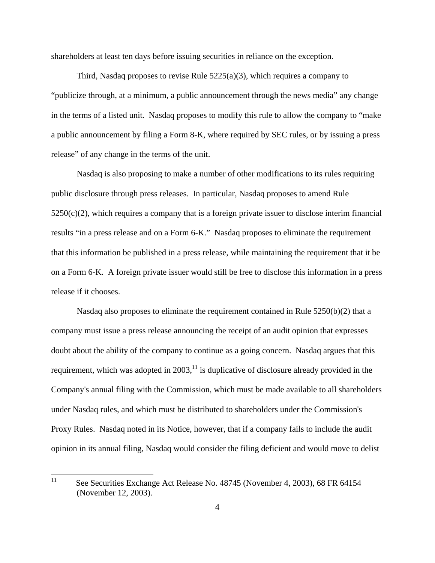shareholders at least ten days before issuing securities in reliance on the exception.

Third, Nasdaq proposes to revise Rule  $5225(a)(3)$ , which requires a company to "publicize through, at a minimum, a public announcement through the news media" any change in the terms of a listed unit. Nasdaq proposes to modify this rule to allow the company to "make a public announcement by filing a Form 8-K, where required by SEC rules, or by issuing a press release" of any change in the terms of the unit.

Nasdaq is also proposing to make a number of other modifications to its rules requiring public disclosure through press releases. In particular, Nasdaq proposes to amend Rule  $5250(c)(2)$ , which requires a company that is a foreign private issuer to disclose interim financial results "in a press release and on a Form 6-K." Nasdaq proposes to eliminate the requirement that this information be published in a press release, while maintaining the requirement that it be on a Form 6-K. A foreign private issuer would still be free to disclose this information in a press release if it chooses.

Nasdaq also proposes to eliminate the requirement contained in Rule 5250(b)(2) that a company must issue a press release announcing the receipt of an audit opinion that expresses doubt about the ability of the company to continue as a going concern. Nasdaq argues that this requirement, which was adopted in  $2003$ ,<sup>11</sup> is duplicative of disclosure already provided in the Company's annual filing with the Commission, which must be made available to all shareholders under Nasdaq rules, and which must be distributed to shareholders under the Commission's Proxy Rules. Nasdaq noted in its Notice, however, that if a company fails to include the audit opinion in its annual filing, Nasdaq would consider the filing deficient and would move to delist

 11See Securities Exchange Act Release No. 48745 (November 4, 2003), 68 FR 64154 (November 12, 2003).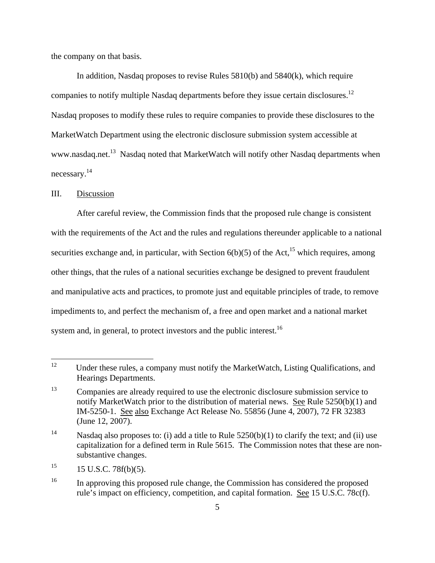the company on that basis.

companies to notify multiple Nasdaq departments before they issue certain disclosures.<sup>12</sup> necessary.<sup>14</sup> In addition, Nasdaq proposes to revise Rules 5810(b) and 5840(k), which require Nasdaq proposes to modify these rules to require companies to provide these disclosures to the MarketWatch Department using the electronic disclosure submission system accessible at www.nasdaq.net.<sup>13</sup> Nasdaq noted that MarketWatch will notify other Nasdaq departments when

#### III. Discussion

After careful review, the Commission finds that the proposed rule change is consistent with the requirements of the Act and the rules and regulations thereunder applicable to a national securities exchange and, in particular, with Section  $6(b)(5)$  of the Act,<sup>15</sup> which requires, among other things, that the rules of a national securities exchange be designed to prevent fraudulent and manipulative acts and practices, to promote just and equitable principles of trade, to remove impediments to, and perfect the mechanism of, a free and open market and a national market system and, in general, to protect investors and the public interest.<sup>16</sup>

 $12<sup>12</sup>$ Under these rules, a company must notify the MarketWatch, Listing Qualifications, and Hearings Departments.

<sup>13</sup> Companies are already required to use the electronic disclosure submission service to notify MarketWatch prior to the distribution of material news. See Rule 5250(b)(1) and IM-5250-1. See also Exchange Act Release No. 55856 (June 4, 2007), 72 FR 32383 (June 12, 2007).

<sup>14</sup> Nasdaq also proposes to: (i) add a title to Rule  $5250(b)(1)$  to clarify the text; and (ii) use capitalization for a defined term in Rule 5615. The Commission notes that these are nonsubstantive changes.

<sup>15</sup> <sup>15</sup> 15 U.S.C. 78f(b)(5).

<sup>16</sup> In approving this proposed rule change, the Commission has considered the proposed rule's impact on efficiency, competition, and capital formation. See 15 U.S.C. 78c(f).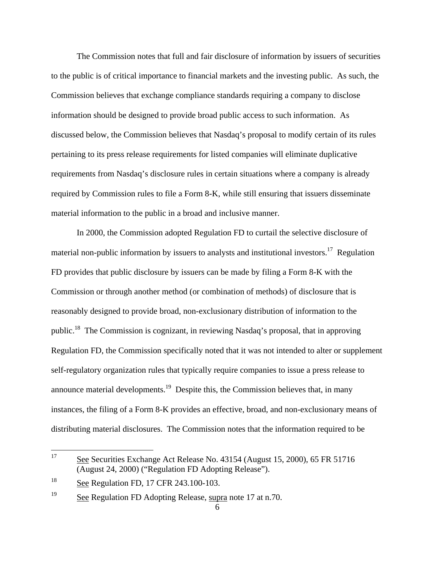The Commission notes that full and fair disclosure of information by issuers of securities to the public is of critical importance to financial markets and the investing public. As such, the Commission believes that exchange compliance standards requiring a company to disclose information should be designed to provide broad public access to such information. As discussed below, the Commission believes that Nasdaq's proposal to modify certain of its rules pertaining to its press release requirements for listed companies will eliminate duplicative requirements from Nasdaq's disclosure rules in certain situations where a company is already required by Commission rules to file a Form 8-K, while still ensuring that issuers disseminate material information to the public in a broad and inclusive manner.

In 2000, the Commission adopted Regulation FD to curtail the selective disclosure of material non-public information by issuers to analysts and institutional investors.<sup>17</sup> Regulation FD provides that public disclosure by issuers can be made by filing a Form 8-K with the Commission or through another method (or combination of methods) of disclosure that is reasonably designed to provide broad, non-exclusionary distribution of information to the public.18 The Commission is cognizant, in reviewing Nasdaq's proposal, that in approving Regulation FD, the Commission specifically noted that it was not intended to alter or supplement self-regulatory organization rules that typically require companies to issue a press release to announce material developments.<sup>19</sup> Despite this, the Commission believes that, in many instances, the filing of a Form 8-K provides an effective, broad, and non-exclusionary means of distributing material disclosures. The Commission notes that the information required to be

<sup>17</sup> See Securities Exchange Act Release No. 43154 (August 15, 2000), 65 FR 51716 (August 24, 2000) ("Regulation FD Adopting Release").

<sup>18</sup> See Regulation FD, 17 CFR 243.100-103.

<sup>19</sup> See Regulation FD Adopting Release, supra note 17 at n.70.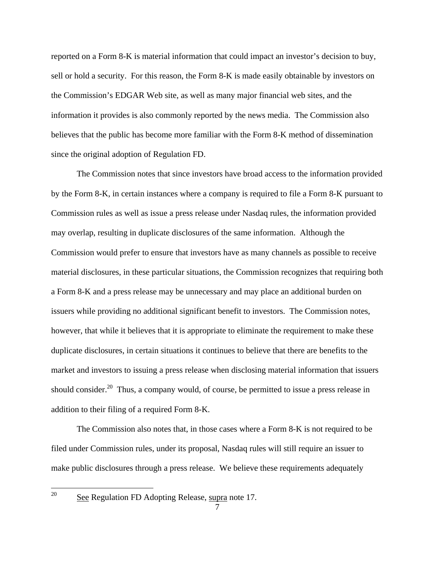reported on a Form 8-K is material information that could impact an investor's decision to buy, sell or hold a security. For this reason, the Form 8-K is made easily obtainable by investors on the Commission's EDGAR Web site, as well as many major financial web sites, and the information it provides is also commonly reported by the news media. The Commission also believes that the public has become more familiar with the Form 8-K method of dissemination since the original adoption of Regulation FD.

The Commission notes that since investors have broad access to the information provided by the Form 8-K, in certain instances where a company is required to file a Form 8-K pursuant to Commission rules as well as issue a press release under Nasdaq rules, the information provided may overlap, resulting in duplicate disclosures of the same information. Although the Commission would prefer to ensure that investors have as many channels as possible to receive material disclosures, in these particular situations, the Commission recognizes that requiring both a Form 8-K and a press release may be unnecessary and may place an additional burden on issuers while providing no additional significant benefit to investors. The Commission notes, however, that while it believes that it is appropriate to eliminate the requirement to make these duplicate disclosures, in certain situations it continues to believe that there are benefits to the market and investors to issuing a press release when disclosing material information that issuers should consider.<sup>20</sup> Thus, a company would, of course, be permitted to issue a press release in addition to their filing of a required Form 8-K.

The Commission also notes that, in those cases where a Form 8-K is not required to be filed under Commission rules, under its proposal, Nasdaq rules will still require an issuer to make public disclosures through a press release. We believe these requirements adequately

 $\frac{1}{20}$ 

See Regulation FD Adopting Release, supra note 17.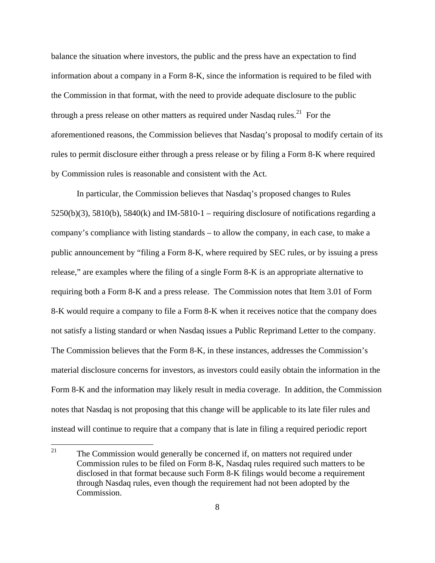balance the situation where investors, the public and the press have an expectation to find information about a company in a Form 8-K, since the information is required to be filed with the Commission in that format, with the need to provide adequate disclosure to the public through a press release on other matters as required under Nasdaq rules.<sup>21</sup> For the aforementioned reasons, the Commission believes that Nasdaq's proposal to modify certain of its rules to permit disclosure either through a press release or by filing a Form 8-K where required by Commission rules is reasonable and consistent with the Act.

 requiring both a Form 8-K and a press release. The Commission notes that Item 3.01 of Form 8-K would require a company to file a Form 8-K when it receives notice that the company does In particular, the Commission believes that Nasdaq's proposed changes to Rules  $5250(b)(3)$ ,  $5810(b)$ ,  $5840(k)$  and IM-5810-1 – requiring disclosure of notifications regarding a company's compliance with listing standards – to allow the company, in each case, to make a public announcement by "filing a Form 8-K, where required by SEC rules, or by issuing a press release," are examples where the filing of a single Form 8-K is an appropriate alternative to not satisfy a listing standard or when Nasdaq issues a Public Reprimand Letter to the company. The Commission believes that the Form 8-K, in these instances, addresses the Commission's material disclosure concerns for investors, as investors could easily obtain the information in the Form 8-K and the information may likely result in media coverage. In addition, the Commission notes that Nasdaq is not proposing that this change will be applicable to its late filer rules and instead will continue to require that a company that is late in filing a required periodic report

 21 The Commission would generally be concerned if, on matters not required under Commission rules to be filed on Form 8-K, Nasdaq rules required such matters to be disclosed in that format because such Form 8-K filings would become a requirement through Nasdaq rules, even though the requirement had not been adopted by the Commission.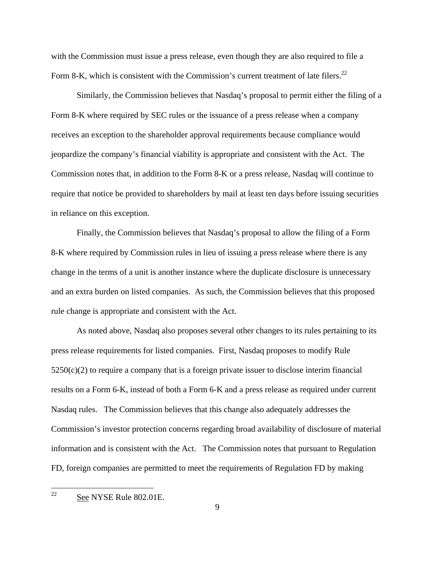Form 8-K, which is consistent with the Commission's current treatment of late filers.<sup>22</sup> with the Commission must issue a press release, even though they are also required to file a

Similarly, the Commission believes that Nasdaq's proposal to permit either the filing of a Form 8-K where required by SEC rules or the issuance of a press release when a company receives an exception to the shareholder approval requirements because compliance would jeopardize the company's financial viability is appropriate and consistent with the Act. The Commission notes that, in addition to the Form 8-K or a press release, Nasdaq will continue to require that notice be provided to shareholders by mail at least ten days before issuing securities in reliance on this exception.

Finally, the Commission believes that Nasdaq's proposal to allow the filing of a Form 8-K where required by Commission rules in lieu of issuing a press release where there is any change in the terms of a unit is another instance where the duplicate disclosure is unnecessary and an extra burden on listed companies. As such, the Commission believes that this proposed rule change is appropriate and consistent with the Act.

As noted above, Nasdaq also proposes several other changes to its rules pertaining to its press release requirements for listed companies. First, Nasdaq proposes to modify Rule  $5250(c)(2)$  to require a company that is a foreign private issuer to disclose interim financial results on a Form 6-K, instead of both a Form 6-K and a press release as required under current Nasdaq rules. The Commission believes that this change also adequately addresses the Commission's investor protection concerns regarding broad availability of disclosure of material information and is consistent with the Act. The Commission notes that pursuant to Regulation FD, foreign companies are permitted to meet the requirements of Regulation FD by making

 22 See NYSE Rule 802.01E.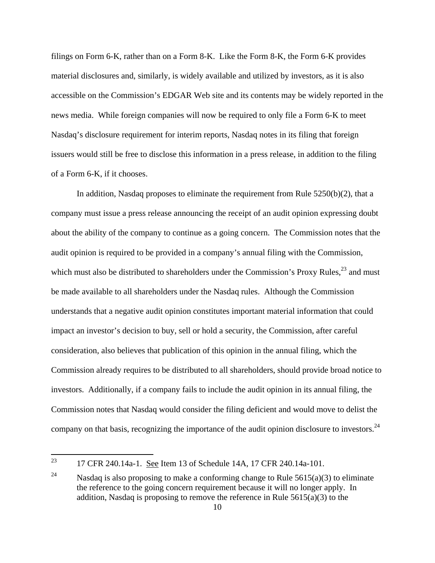filings on Form 6-K, rather than on a Form 8-K. Like the Form 8-K, the Form 6-K provides material disclosures and, similarly, is widely available and utilized by investors, as it is also accessible on the Commission's EDGAR Web site and its contents may be widely reported in the news media. While foreign companies will now be required to only file a Form 6-K to meet Nasdaq's disclosure requirement for interim reports, Nasdaq notes in its filing that foreign issuers would still be free to disclose this information in a press release, in addition to the filing of a Form 6-K, if it chooses.

company on that basis, recognizing the importance of the audit opinion disclosure to investors.  $24$ In addition, Nasdaq proposes to eliminate the requirement from Rule  $5250(b)(2)$ , that a company must issue a press release announcing the receipt of an audit opinion expressing doubt about the ability of the company to continue as a going concern. The Commission notes that the audit opinion is required to be provided in a company's annual filing with the Commission, which must also be distributed to shareholders under the Commission's Proxy Rules, $^{23}$  and must be made available to all shareholders under the Nasdaq rules. Although the Commission understands that a negative audit opinion constitutes important material information that could impact an investor's decision to buy, sell or hold a security, the Commission, after careful consideration, also believes that publication of this opinion in the annual filing, which the Commission already requires to be distributed to all shareholders, should provide broad notice to investors. Additionally, if a company fails to include the audit opinion in its annual filing, the Commission notes that Nasdaq would consider the filing deficient and would move to delist the

<sup>17</sup> CFR 240.14a-1. See Item 13 of Schedule 14A, 17 CFR 240.14a-101.

<sup>24</sup> Nasdaq is also proposing to make a conforming change to Rule  $5615(a)(3)$  to eliminate the reference to the going concern requirement because it will no longer apply. In addition, Nasdaq is proposing to remove the reference in Rule  $5615(a)(3)$  to the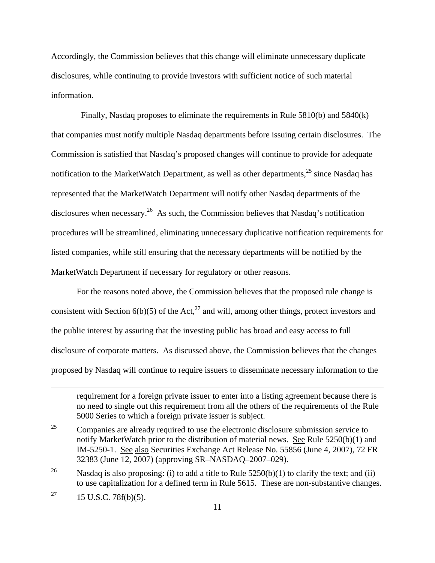Accordingly, the Commission believes that this change will eliminate unnecessary duplicate disclosures, while continuing to provide investors with sufficient notice of such material information.

 Finally, Nasdaq proposes to eliminate the requirements in Rule 5810(b) and 5840(k) that companies must notify multiple Nasdaq departments before issuing certain disclosures. The Commission is satisfied that Nasdaq's proposed changes will continue to provide for adequate notification to the MarketWatch Department, as well as other departments,  $25$  since Nasdaq has represented that the MarketWatch Department will notify other Nasdaq departments of the disclosures when necessary.<sup>26</sup> As such, the Commission believes that Nasdaq's notification procedures will be streamlined, eliminating unnecessary duplicative notification requirements for listed companies, while still ensuring that the necessary departments will be notified by the MarketWatch Department if necessary for regulatory or other reasons.

For the reasons noted above, the Commission believes that the proposed rule change is consistent with Section 6(b)(5) of the Act,<sup>27</sup> and will, among other things, protect investors and the public interest by assuring that the investing public has broad and easy access to full disclosure of corporate matters. As discussed above, the Commission believes that the changes proposed by Nasdaq will continue to require issuers to disseminate necessary information to the

requirement for a foreign private issuer to enter into a listing agreement because there is no need to single out this requirement from all the others of the requirements of the Rule 5000 Series to which a foreign private issuer is subject.

<sup>25</sup> Companies are already required to use the electronic disclosure submission service to notify MarketWatch prior to the distribution of material news. See Rule 5250(b)(1) and IM-5250-1. See also Securities Exchange Act Release No. 55856 (June 4, 2007), 72 FR 32383 (June 12, 2007) (approving SR–NASDAQ–2007–029).

<sup>26</sup> Nasdaq is also proposing: (i) to add a title to Rule  $5250(b)(1)$  to clarify the text; and (ii) to use capitalization for a defined term in Rule 5615. These are non-substantive changes.

<sup>27</sup>  $15$  U.S.C. 78 $f(b)(5)$ .